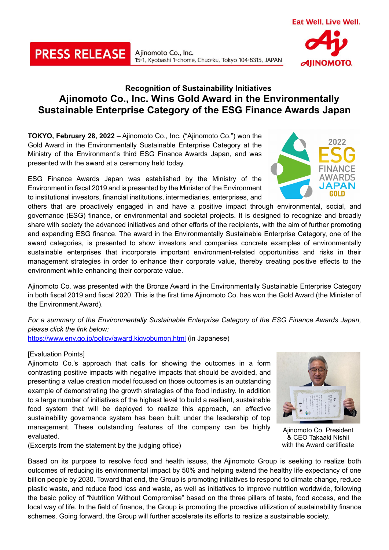## **Recognition of Sustainability Initiatives Ajinomoto Co., Inc. Wins Gold Award in the Environmentally Sustainable Enterprise Category of the ESG Finance Awards Japan**

15-1, Kyobashi 1-chome, Chuo-ku, Tokyo 104-8315, JAPAN

**TOKYO, February 28, 2022** – Ajinomoto Co., Inc. ("Ajinomoto Co.") won the Gold Award in the Environmentally Sustainable Enterprise Category at the Ministry of the Environment's third ESG Finance Awards Japan, and was presented with the award at a ceremony held today.

Ajinomoto Co., Inc.

ESG Finance Awards Japan was established by the Ministry of the Environment in fiscal 2019 and is presented by the Minister of the Environment to institutional investors, financial institutions, intermediaries, enterprises, and

others that are proactively engaged in and have a positive impact through environmental, social, and governance (ESG) finance, or environmental and societal projects. It is designed to recognize and broadly share with society the advanced initiatives and other efforts of the recipients, with the aim of further promoting and expanding ESG finance. The award in the Environmentally Sustainable Enterprise Category, one of the award categories, is presented to show investors and companies concrete examples of environmentally sustainable enterprises that incorporate important environment-related opportunities and risks in their management strategies in order to enhance their corporate value, thereby creating positive effects to the environment while enhancing their corporate value.

Ajinomoto Co. was presented with the Bronze Award in the Environmentally Sustainable Enterprise Category in both fiscal 2019 and fiscal 2020. This is the first time Ajinomoto Co. has won the Gold Award (the Minister of the Environment Award).

*For a summary of the Environmentally Sustainable Enterprise Category of the ESG Finance Awards Japan, please click the link below:*

<https://www.env.go.jp/policy/award.kigyobumon.html> (in Japanese)

## [Evaluation Points]

Ajinomoto Co.'s approach that calls for showing the outcomes in a form contrasting positive impacts with negative impacts that should be avoided, and presenting a value creation model focused on those outcomes is an outstanding example of demonstrating the growth strategies of the food industry. In addition to a large number of initiatives of the highest level to build a resilient, sustainable food system that will be deployed to realize this approach, an effective sustainability governance system has been built under the leadership of top management. These outstanding features of the company can be highly evaluated.

(Excerpts from the statement by the judging office)

Based on its purpose to resolve food and health issues, the Ajinomoto Group is seeking to realize both outcomes of reducing its environmental impact by 50% and helping extend the healthy life expectancy of one billion people by 2030. Toward that end, the Group is promoting initiatives to respond to climate change, reduce plastic waste, and reduce food loss and waste, as well as initiatives to improve nutrition worldwide, following the basic policy of "Nutrition Without Compromise" based on the three pillars of taste, food access, and the local way of life. In the field of finance, the Group is promoting the proactive utilization of sustainability finance schemes. Going forward, the Group will further accelerate its efforts to realize a sustainable society.

Ajinomoto Co. President & CEO Takaaki Nishii with the Award certificate







**PRESS RELEASE**